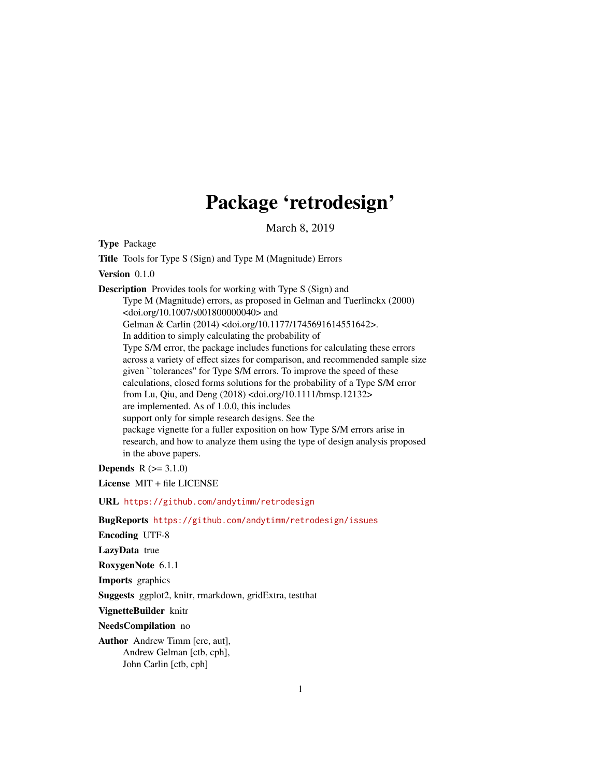# Package 'retrodesign'

March 8, 2019

Type Package Title Tools for Type S (Sign) and Type M (Magnitude) Errors Version 0.1.0 Description Provides tools for working with Type S (Sign) and Type M (Magnitude) errors, as proposed in Gelman and Tuerlinckx (2000) <doi.org/10.1007/s001800000040> and Gelman & Carlin (2014) <doi.org/10.1177/1745691614551642>. In addition to simply calculating the probability of Type S/M error, the package includes functions for calculating these errors across a variety of effect sizes for comparison, and recommended sample size given ``tolerances'' for Type S/M errors. To improve the speed of these calculations, closed forms solutions for the probability of a Type S/M error from Lu, Qiu, and Deng (2018) <doi.org/10.1111/bmsp.12132> are implemented. As of 1.0.0, this includes support only for simple research designs. See the package vignette for a fuller exposition on how Type S/M errors arise in research, and how to analyze them using the type of design analysis proposed in the above papers.

**Depends**  $R (= 3.1.0)$ 

License MIT + file LICENSE

URL <https://github.com/andytimm/retrodesign>

BugReports <https://github.com/andytimm/retrodesign/issues>

Encoding UTF-8

LazyData true

RoxygenNote 6.1.1

Imports graphics

Suggests ggplot2, knitr, rmarkdown, gridExtra, testthat

VignetteBuilder knitr

NeedsCompilation no

Author Andrew Timm [cre, aut], Andrew Gelman [ctb, cph], John Carlin [ctb, cph]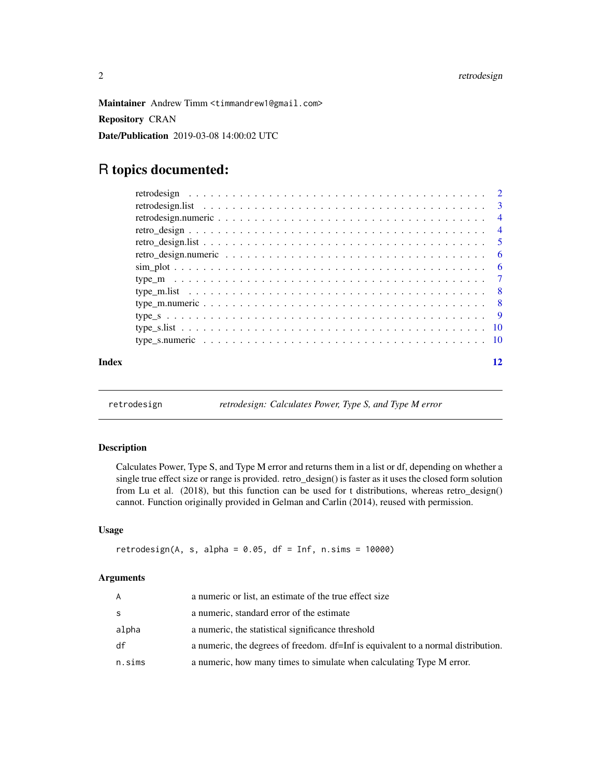<span id="page-1-0"></span>Maintainer Andrew Timm <timmandrew1@gmail.com>

Repository CRAN

Date/Publication 2019-03-08 14:00:02 UTC

## R topics documented:

| Index | 12 |
|-------|----|
|       |    |
|       |    |
|       |    |
|       |    |
|       |    |
|       |    |
|       |    |
|       |    |
|       |    |
|       |    |
|       |    |
|       |    |
|       |    |
|       |    |

retrodesign *retrodesign: Calculates Power, Type S, and Type M error*

#### Description

Calculates Power, Type S, and Type M error and returns them in a list or df, depending on whether a single true effect size or range is provided. retro\_design() is faster as it uses the closed form solution from Lu et al. (2018), but this function can be used for t distributions, whereas retro\_design() cannot. Function originally provided in Gelman and Carlin (2014), reused with permission.

#### Usage

```
retrodesign(A, s, alpha = 0.05, df = Inf, n.sims = 10000)
```
#### Arguments

| A      | a numeric or list, an estimate of the true effect size                            |
|--------|-----------------------------------------------------------------------------------|
| S.     | a numeric, standard error of the estimate                                         |
| alpha  | a numeric, the statistical significance threshold                                 |
| df     | a numeric, the degrees of freedom. df=Inf is equivalent to a normal distribution. |
| n.sims | a numeric, how many times to simulate when calculating Type M error.              |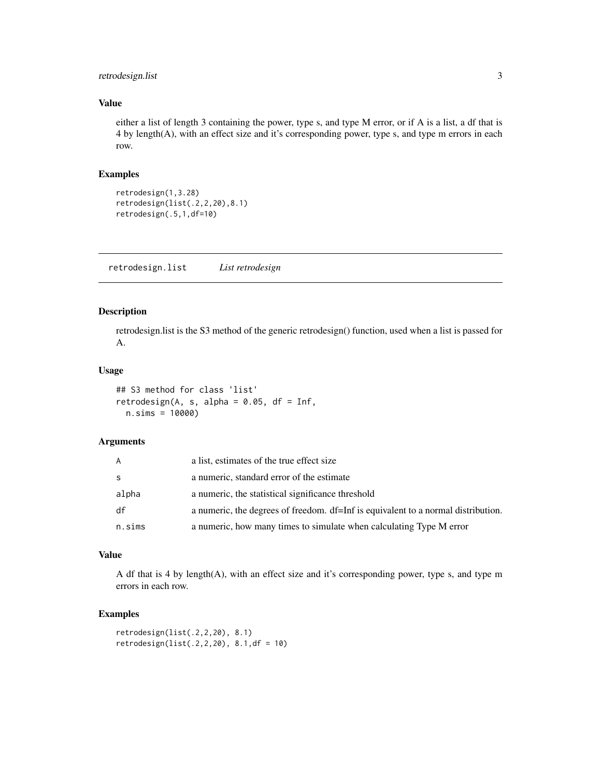#### <span id="page-2-0"></span>retrodesign.list 3

#### Value

either a list of length 3 containing the power, type s, and type M error, or if A is a list, a df that is 4 by length(A), with an effect size and it's corresponding power, type s, and type m errors in each row.

#### Examples

retrodesign(1,3.28) retrodesign(list(.2,2,20),8.1) retrodesign(.5,1,df=10)

retrodesign.list *List retrodesign*

#### Description

retrodesign.list is the S3 method of the generic retrodesign() function, used when a list is passed for A.

#### Usage

```
## S3 method for class 'list'
retrodesign(A, s, alpha = 0.05, df = Inf,
 n.sims = 10000)
```
#### Arguments

| A      | a list, estimates of the true effect size                                         |
|--------|-----------------------------------------------------------------------------------|
| S      | a numeric, standard error of the estimate                                         |
| alpha  | a numeric, the statistical significance threshold                                 |
| df     | a numeric, the degrees of freedom. df=Inf is equivalent to a normal distribution. |
| n.sims | a numeric, how many times to simulate when calculating Type M error               |

#### Value

A df that is 4 by length(A), with an effect size and it's corresponding power, type s, and type m errors in each row.

#### Examples

```
retrodesign(list(.2,2,20), 8.1)
retrodesign(list(.2, 2, 20), 8.1, df = 10)
```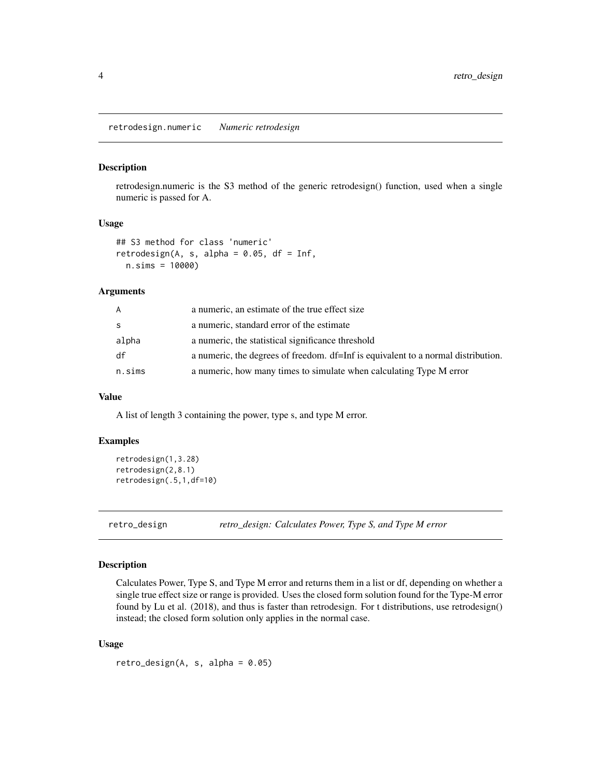<span id="page-3-0"></span>retrodesign.numeric *Numeric retrodesign*

#### Description

retrodesign.numeric is the S3 method of the generic retrodesign() function, used when a single numeric is passed for A.

#### Usage

```
## S3 method for class 'numeric'
retrodesign(A, s, alpha = 0.05, df = Inf,
  n.sims = 10000)
```
#### Arguments

| A            | a numeric, an estimate of the true effect size                                    |
|--------------|-----------------------------------------------------------------------------------|
| <sub>S</sub> | a numeric, standard error of the estimate                                         |
| alpha        | a numeric, the statistical significance threshold                                 |
| df           | a numeric, the degrees of freedom. df=Inf is equivalent to a normal distribution. |
| n.sims       | a numeric, how many times to simulate when calculating Type M error               |

#### Value

A list of length 3 containing the power, type s, and type M error.

#### Examples

```
retrodesign(1,3.28)
retrodesign(2,8.1)
retrodesign(.5,1,df=10)
```
retro\_design *retro\_design: Calculates Power, Type S, and Type M error*

#### Description

Calculates Power, Type S, and Type M error and returns them in a list or df, depending on whether a single true effect size or range is provided. Uses the closed form solution found for the Type-M error found by Lu et al. (2018), and thus is faster than retrodesign. For t distributions, use retrodesign() instead; the closed form solution only applies in the normal case.

#### Usage

 $retro\_design(A, s, alpha = 0.05)$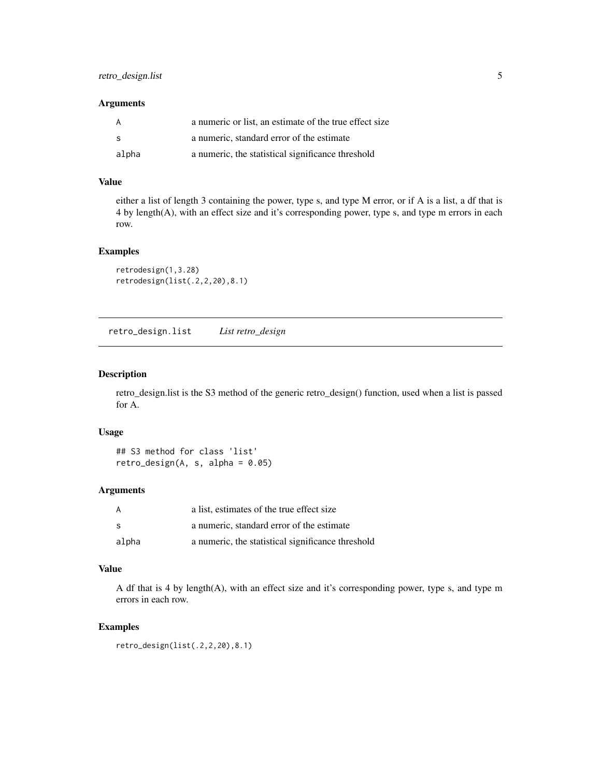#### <span id="page-4-0"></span>Arguments

|       | a numeric or list, an estimate of the true effect size |
|-------|--------------------------------------------------------|
| - S   | a numeric, standard error of the estimate              |
| alpha | a numeric, the statistical significance threshold      |

#### Value

either a list of length 3 containing the power, type s, and type M error, or if A is a list, a df that is 4 by length(A), with an effect size and it's corresponding power, type s, and type m errors in each row.

#### Examples

```
retrodesign(1,3.28)
retrodesign(list(.2,2,20),8.1)
```
retro\_design.list *List retro\_design*

#### Description

retro\_design.list is the S3 method of the generic retro\_design() function, used when a list is passed for A.

#### Usage

## S3 method for class 'list' retro\_design $(A, s, alpha = 0.05)$ 

#### Arguments

| A     | a list, estimates of the true effect size         |
|-------|---------------------------------------------------|
| -S    | a numeric, standard error of the estimate         |
| alpha | a numeric, the statistical significance threshold |

#### Value

A df that is 4 by length(A), with an effect size and it's corresponding power, type s, and type m errors in each row.

#### Examples

```
retro_design(list(.2,2,20),8.1)
```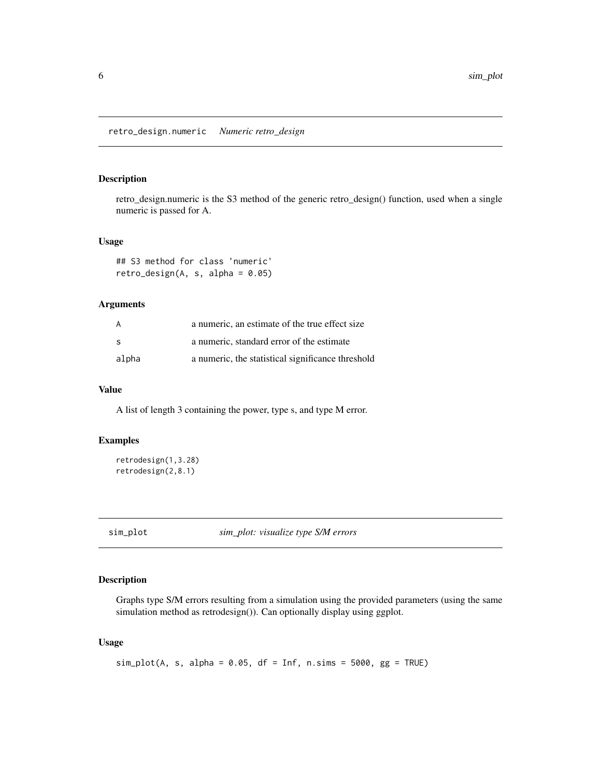<span id="page-5-0"></span>retro\_design.numeric *Numeric retro\_design*

#### Description

retro\_design.numeric is the S3 method of the generic retro\_design() function, used when a single numeric is passed for A.

#### Usage

```
## S3 method for class 'numeric'
retro\_design(A, s, alpha = 0.05)
```
#### Arguments

| A     | a numeric, an estimate of the true effect size    |
|-------|---------------------------------------------------|
| S     | a numeric, standard error of the estimate         |
| alpha | a numeric, the statistical significance threshold |

#### Value

A list of length 3 containing the power, type s, and type M error.

#### Examples

```
retrodesign(1,3.28)
retrodesign(2,8.1)
```
sim\_plot *sim\_plot: visualize type S/M errors*

#### Description

Graphs type S/M errors resulting from a simulation using the provided parameters (using the same simulation method as retrodesign()). Can optionally display using ggplot.

#### Usage

```
sim\_plot(A, s, alpha = 0.05, df = Inf, n.sims = 5000, gg = TRUE)
```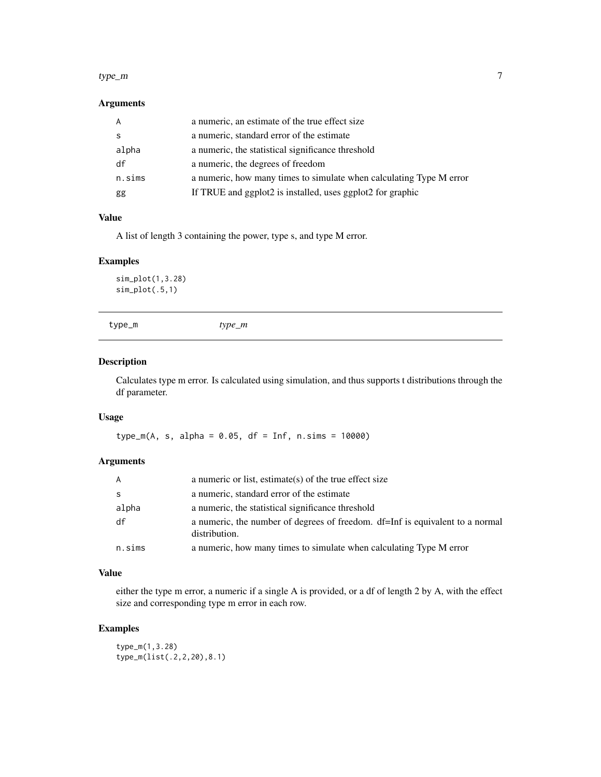#### <span id="page-6-0"></span>type\_m 7

#### Arguments

| A      | a numeric, an estimate of the true effect size                      |
|--------|---------------------------------------------------------------------|
| -S     | a numeric, standard error of the estimate                           |
| alpha  | a numeric, the statistical significance threshold                   |
| df     | a numeric, the degrees of freedom                                   |
| n.sims | a numeric, how many times to simulate when calculating Type M error |
| gg     | If TRUE and ggplot2 is installed, uses ggplot2 for graphic          |

#### Value

A list of length 3 containing the power, type s, and type M error.

#### Examples

sim\_plot(1,3.28) sim\_plot(.5,1)

```
type_m type_m
```
#### Description

Calculates type m error. Is calculated using simulation, and thus supports t distributions through the df parameter.

#### Usage

type\_m(A, s, alpha = 0.05, df = Inf, n.sims = 10000)

#### Arguments

| $\overline{A}$ | a numeric or list, estimate(s) of the true effect size                                         |
|----------------|------------------------------------------------------------------------------------------------|
| -S             | a numeric, standard error of the estimate                                                      |
| alpha          | a numeric, the statistical significance threshold                                              |
| df             | a numeric, the number of degrees of freedom. df=Inf is equivalent to a normal<br>distribution. |
| n.sims         | a numeric, how many times to simulate when calculating Type M error                            |

#### Value

either the type m error, a numeric if a single A is provided, or a df of length 2 by A, with the effect size and corresponding type m error in each row.

#### Examples

type\_m(1,3.28) type\_m(list(.2,2,20),8.1)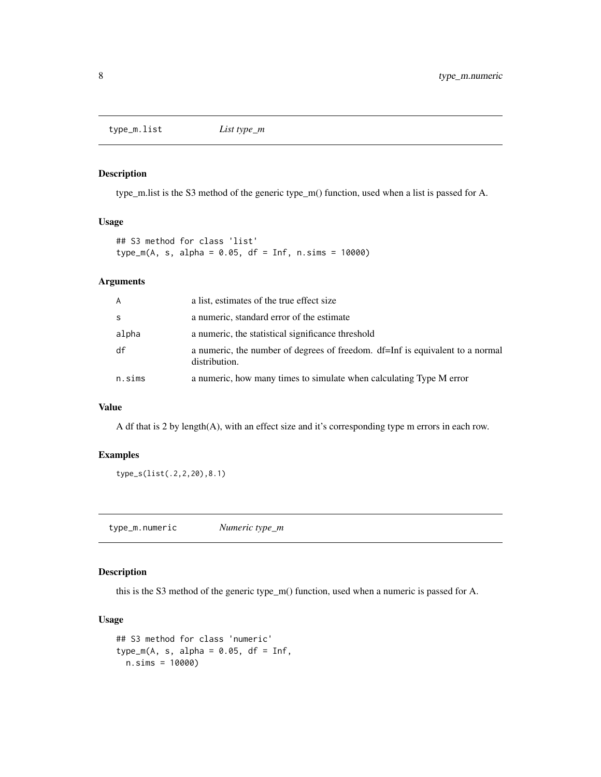<span id="page-7-0"></span>type\_m.list *List type\_m*

#### Description

type\_m.list is the S3 method of the generic type\_m() function, used when a list is passed for A.

#### Usage

## S3 method for class 'list' type\_m(A, s, alpha = 0.05, df = Inf, n.sims = 10000)

#### Arguments

| A      | a list, estimates of the true effect size                                                      |
|--------|------------------------------------------------------------------------------------------------|
| S      | a numeric, standard error of the estimate                                                      |
| alpha  | a numeric, the statistical significance threshold                                              |
| df     | a numeric, the number of degrees of freedom. df=Inf is equivalent to a normal<br>distribution. |
| n.sims | a numeric, how many times to simulate when calculating Type M error                            |

#### Value

A df that is 2 by length(A), with an effect size and it's corresponding type m errors in each row.

#### Examples

type\_s(list(.2,2,20),8.1)

type\_m.numeric *Numeric type\_m*

#### Description

this is the S3 method of the generic type\_m() function, used when a numeric is passed for A.

#### Usage

```
## S3 method for class 'numeric'
type_m(A, s, alpha = 0.05, df = Inf,
 n.sims = 10000)
```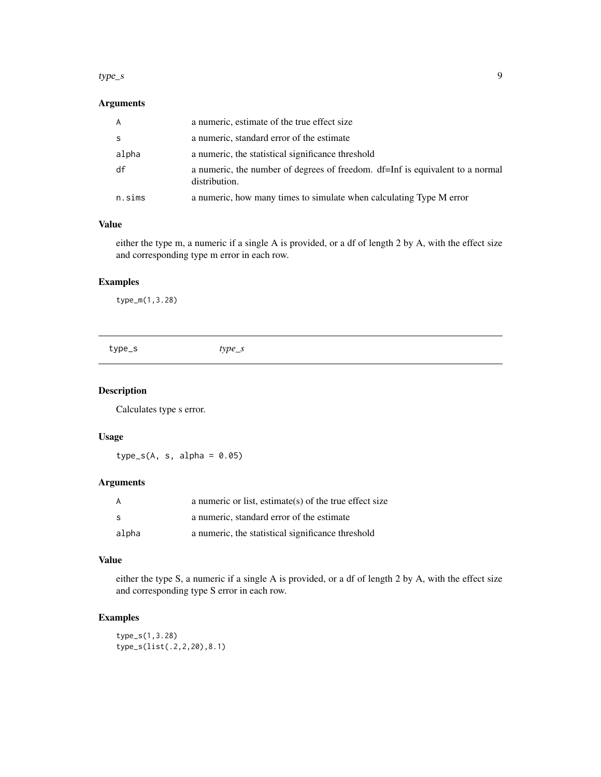#### <span id="page-8-0"></span> $type\_s$  9

#### Arguments

| n.sims       | a numeric, how many times to simulate when calculating Type M error                            |
|--------------|------------------------------------------------------------------------------------------------|
| df           | a numeric, the number of degrees of freedom. df=Inf is equivalent to a normal<br>distribution. |
| alpha        | a numeric, the statistical significance threshold                                              |
| <sub>S</sub> | a numeric, standard error of the estimate                                                      |
| $\mathsf{A}$ | a numeric, estimate of the true effect size                                                    |

#### Value

either the type m, a numeric if a single A is provided, or a df of length 2 by A, with the effect size and corresponding type m error in each row.

#### Examples

type\_m(1,3.28)

| type_s | type_s |
|--------|--------|
|        |        |

#### Description

Calculates type s error.

#### Usage

 $type_s(A, s, alpha = 0.05)$ 

#### Arguments

| A     | a numeric or list, estimate(s) of the true effect size |
|-------|--------------------------------------------------------|
| -S    | a numeric, standard error of the estimate              |
| alpha | a numeric, the statistical significance threshold      |

#### Value

either the type S, a numeric if a single A is provided, or a df of length 2 by A, with the effect size and corresponding type S error in each row.

#### Examples

type\_s(1,3.28) type\_s(list(.2,2,20),8.1)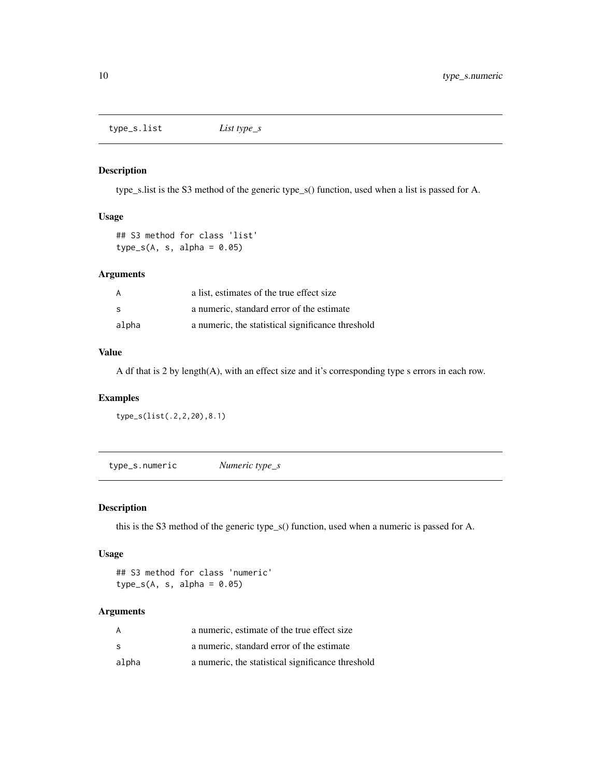<span id="page-9-0"></span>type\_s.list *List type\_s*

#### Description

type\_s.list is the S3 method of the generic type\_s() function, used when a list is passed for A.

#### Usage

## S3 method for class 'list'  $type_s(A, s, alpha = 0.05)$ 

#### Arguments

| A     | a list, estimates of the true effect size         |
|-------|---------------------------------------------------|
| -S    | a numeric, standard error of the estimate         |
| alpha | a numeric, the statistical significance threshold |

#### Value

A df that is 2 by length(A), with an effect size and it's corresponding type s errors in each row.

#### Examples

type\_s(list(.2,2,20),8.1)

type\_s.numeric *Numeric type\_s*

#### Description

this is the S3 method of the generic type\_s() function, used when a numeric is passed for A.

#### Usage

```
## S3 method for class 'numeric'
type_s(A, s, alpha = 0.05)
```
#### Arguments

| A     | a numeric, estimate of the true effect size       |
|-------|---------------------------------------------------|
| S     | a numeric, standard error of the estimate         |
| alpha | a numeric, the statistical significance threshold |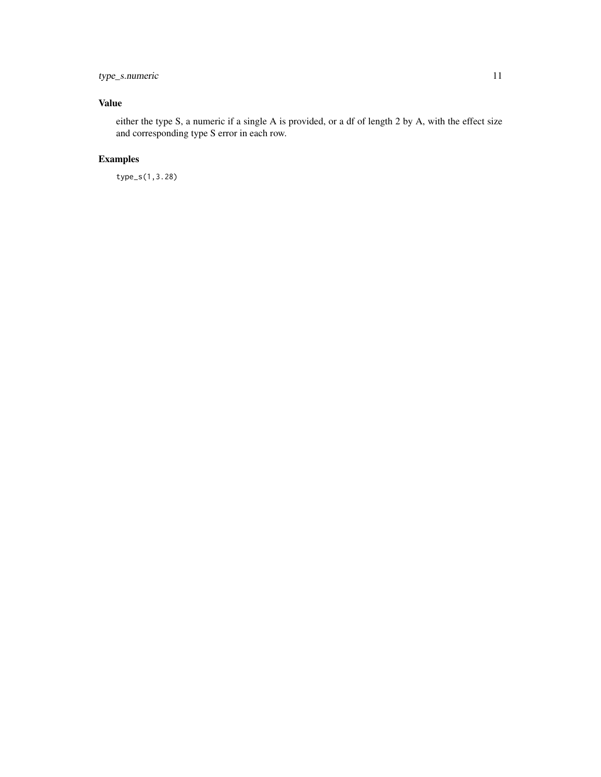#### type\_s.numeric 11

### Value

either the type S, a numeric if a single A is provided, or a df of length 2 by A, with the effect size and corresponding type S error in each row.

### Examples

type\_s(1,3.28)